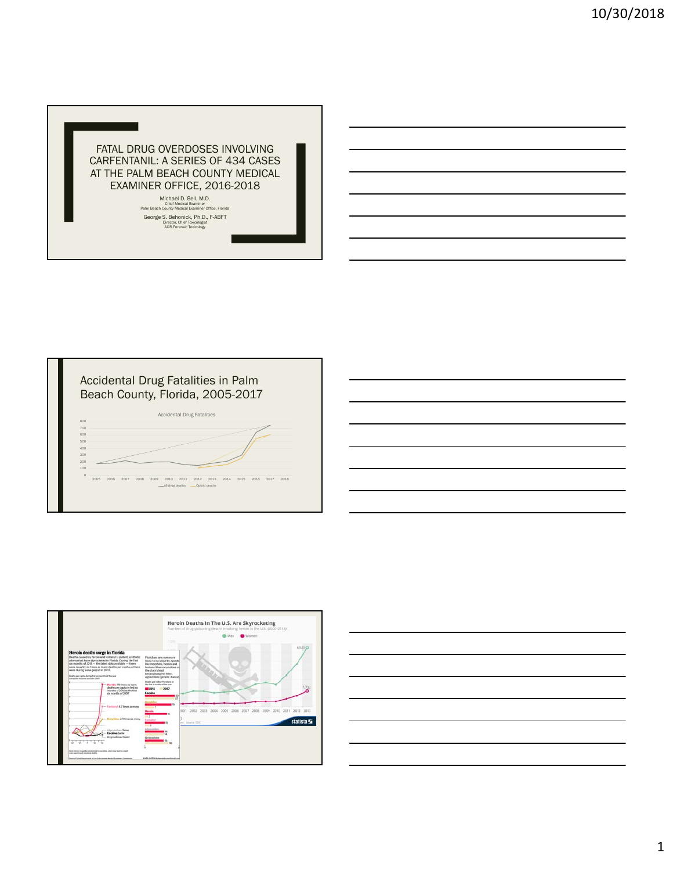







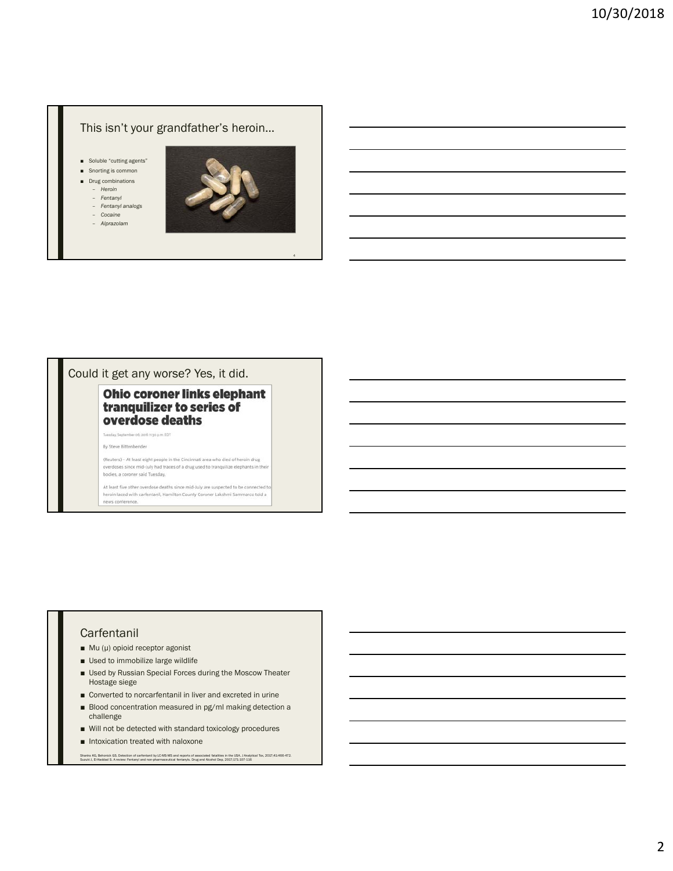## This isn't your grandfather's heroin…

- Soluble "cutting agents"
- Snorting is common
- Drug combinations – *Heroin*
	- *Fentanyl*
	- *Fentanyl analogs*
	- *Cocaine*
	- *Alprazolam*



4

## Could it get any worse? Yes, it did.

#### **Ohio coroner links elephant** tranquilizer to series of overdose deaths

**Ry Steve Rittenhender** 

Tuesday, September 06, 2016 1130 p.m. EDT

(Reuters) - At least eight people in the Cincinnati area who died of heroin drug overdoses since mid-July had traces of a drug used to tranquilize elephants in their bodies, a coroner said Tuesday.

At least five other overdose deaths since mid-July are suspected to be connected to heroin laced with carfentanil, Hamilton County Coroner Lakshmi Sammarco told a news conference.

#### Carfentanil

- Mu (µ) opioid receptor agonist
- Used to immobilize large wildlife
- Used by Russian Special Forces during the Moscow Theater Hostage siege
- Converted to norcarfentanil in liver and excreted in urine
- Blood concentration measured in pg/ml making detection a challenge
- Will not be detected with standard toxicology procedures
- Intoxication treated with naloxone

Shanks KG, Behonick GS. Detection of carfentanil by LCMS-MS and reports of associated fatalities in the USA. J Analytical Tox, 2017;41:466-472.<br>Suzuki J, El-Haddad S. A review: Fentanyl and non-pharmaceutical fentanyls. Dr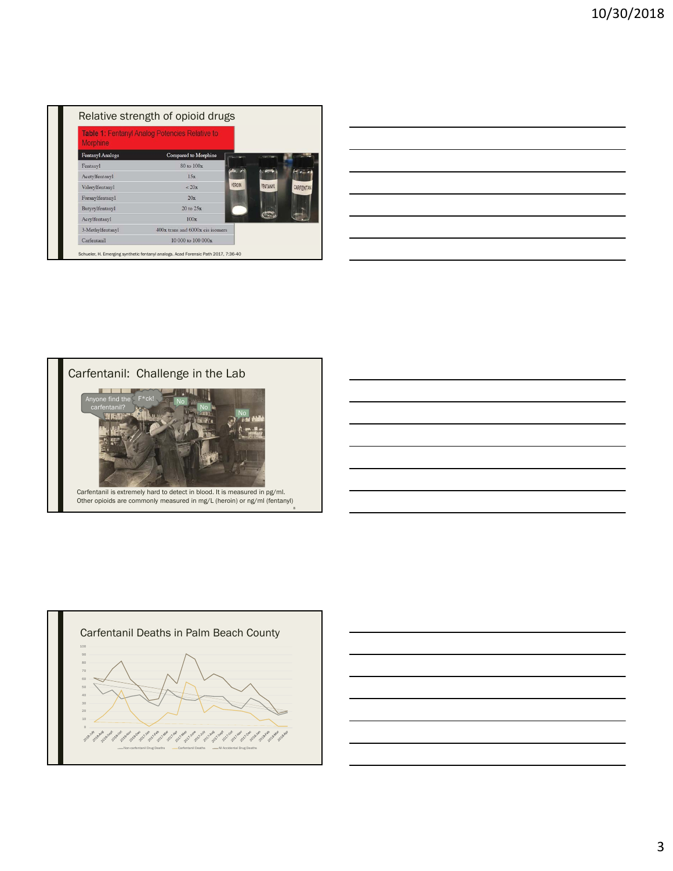| <b>Morphine</b>         | Table 1: Fentanyl Analog Potencies Relative to |               |                 |           |
|-------------------------|------------------------------------------------|---------------|-----------------|-----------|
| <b>Fentanyl Analogs</b> | Compared to Morphine                           |               |                 |           |
| Fentanyl                | 80 to 100x                                     |               |                 |           |
| Acetylfentanyl          | 15x                                            |               |                 |           |
| Valerylfentanyl         | < 20x                                          | <b>HEROIN</b> | <b>FENTANYL</b> | CARFENTAN |
| Furanylfentanyl         | 20x                                            |               |                 |           |
| Butyrylfentanyl         | $20$ to $25x$                                  |               |                 |           |
| Acrylfentanyl           | 100x                                           |               |                 |           |
| 3-Methylfentanyl        | 400x trans and 6000x cis isomers               |               |                 |           |
| Carfentanil             | $10000$ to $10000x$                            |               |                 |           |



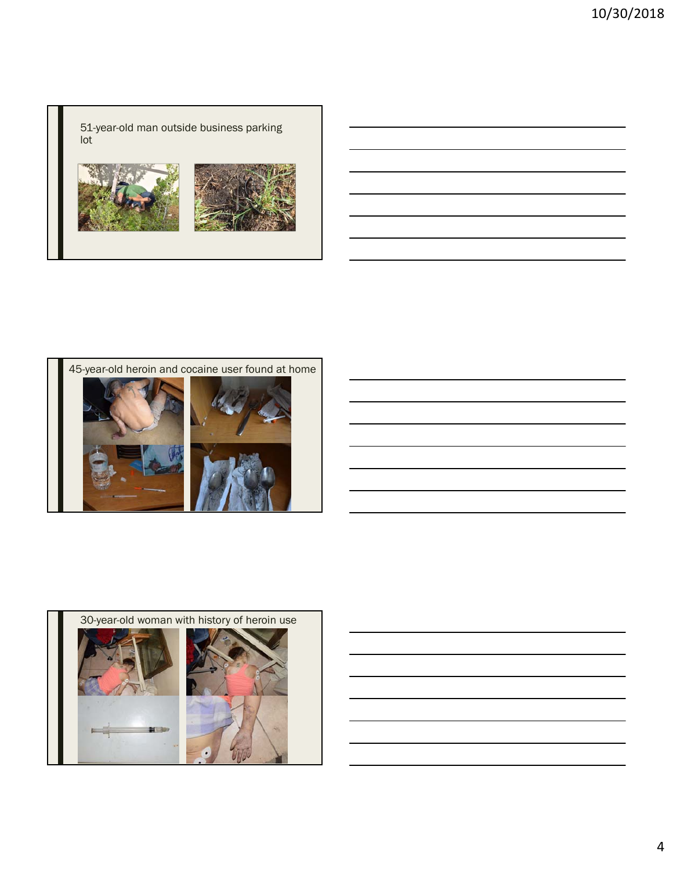51-year-old man outside business parking lot





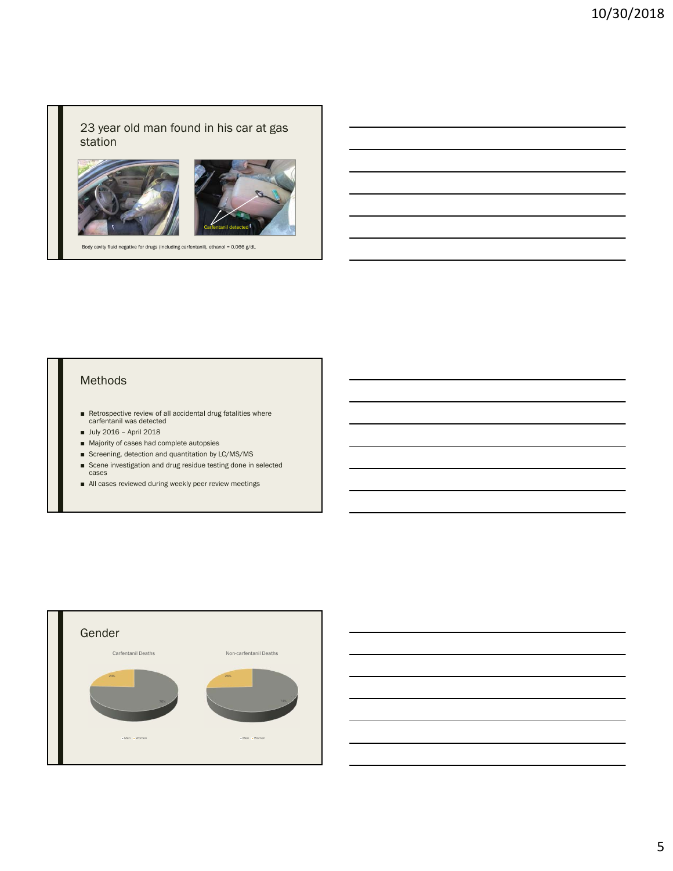# 23 year old man found in his car at gas station



Body cavity fluid negative for drugs (including carfentanil), ethanol = 0.066 g/dL

#### Methods

- Retrospective review of all accidental drug fatalities where carfentanil was detected
- July 2016 April 2018
- Majority of cases had complete autopsies
- Screening, detection and quantitation by LC/MS/MS
- Scene investigation and drug residue testing done in selected cases
- All cases reviewed during weekly peer review meetings

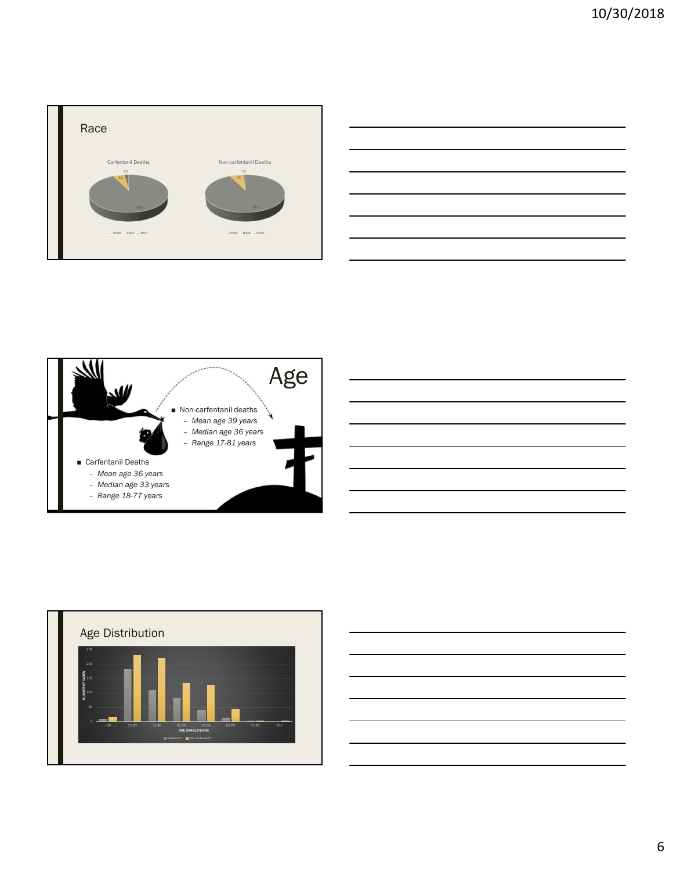

|                                              |  | _____ |
|----------------------------------------------|--|-------|
|                                              |  |       |
|                                              |  |       |
|                                              |  |       |
|                                              |  |       |
|                                              |  |       |
|                                              |  |       |
|                                              |  |       |
|                                              |  |       |
| the control of the control of the control of |  |       |
|                                              |  |       |





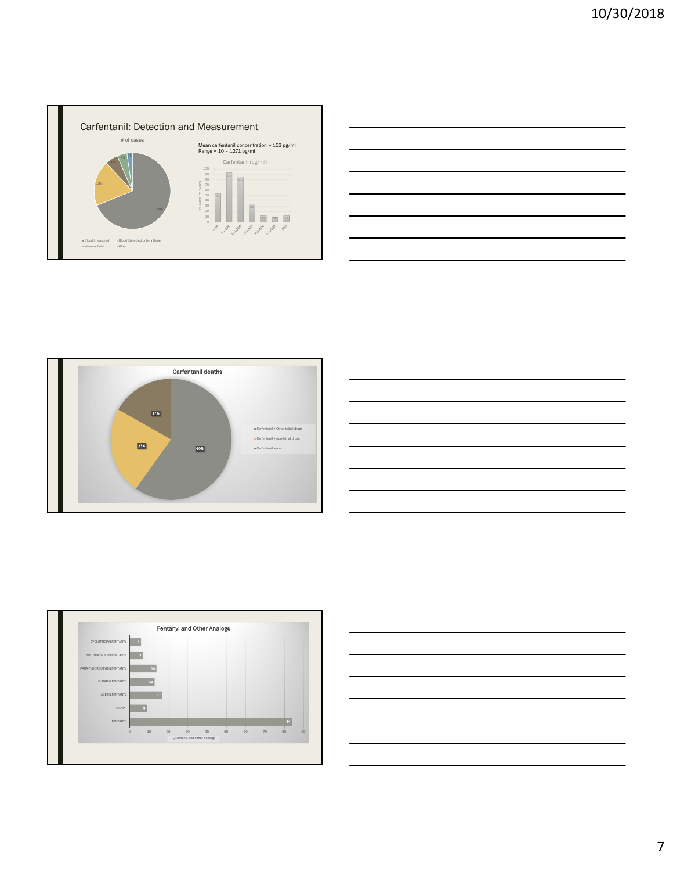









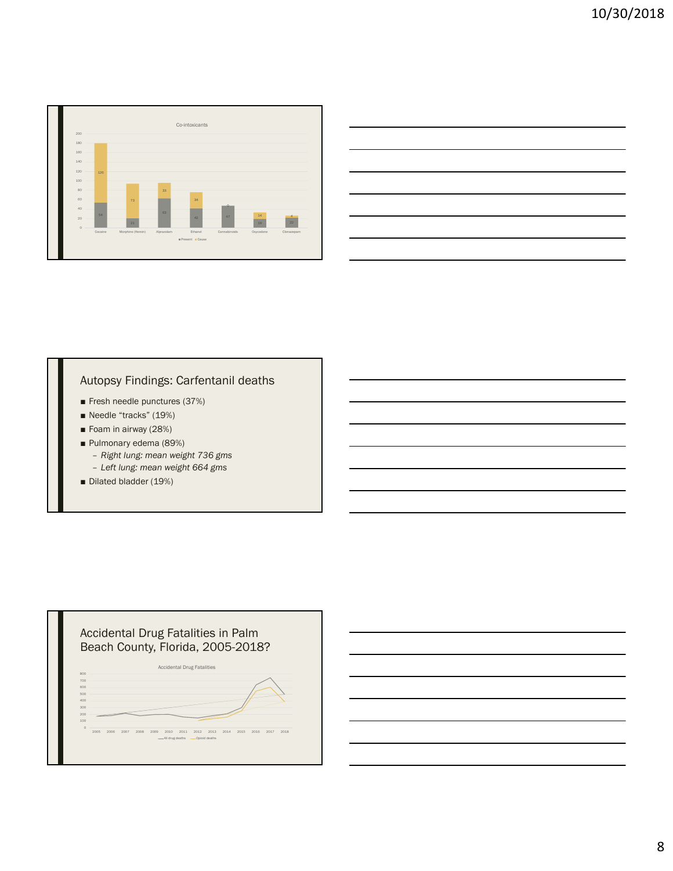

| <u> 1989 - Johann Stoff, amerikansk politiker (d. 1989)</u>                                                           |  |  |
|-----------------------------------------------------------------------------------------------------------------------|--|--|
| <u> 1989 - Andrea Andrew Maria (h. 1989).</u>                                                                         |  |  |
| <u> 1989 - Johann Stoff, amerikansk politiker (d. 1989)</u>                                                           |  |  |
| <u> 1989 - Johann Stoff, deutscher Stoff, der Stoff, der Stoff, der Stoff, der Stoff, der Stoff, der Stoff, der S</u> |  |  |
| <u> 1989 - Johann Stoff, deutscher Stoff, der Stoff, der Stoff, der Stoff, der Stoff, der Stoff, der Stoff, der S</u> |  |  |
|                                                                                                                       |  |  |

# Autopsy Findings: Carfentanil deaths

- Fresh needle punctures (37%)
- Needle "tracks" (19%)
- Foam in airway (28%)
- Pulmonary edema (89%)
	- *Right lung: mean weight 736 gms*
	- *Left lung: mean weight 664 gms*
- Dilated bladder (19%)